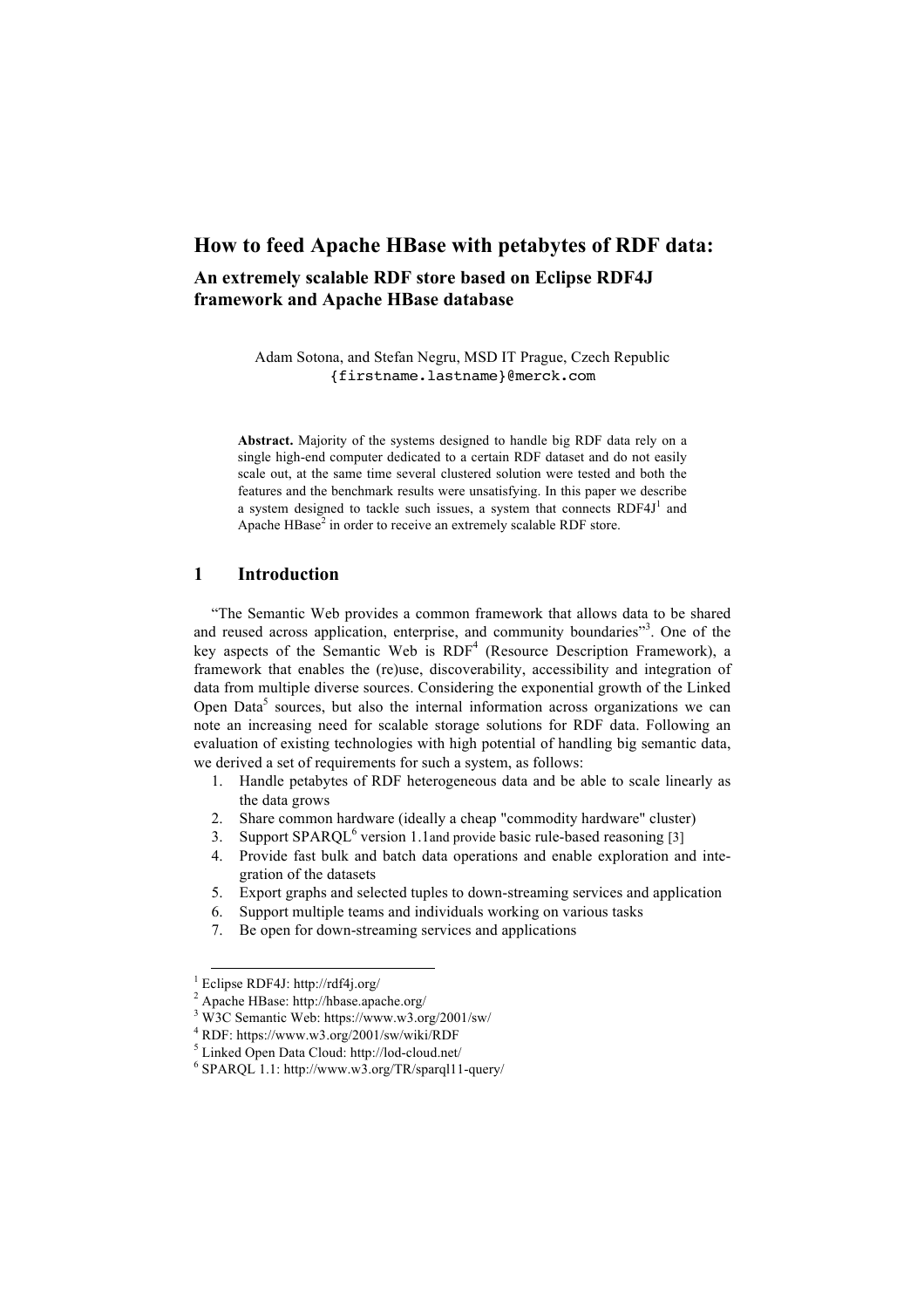# **How to feed Apache HBase with petabytes of RDF data:**

# **An extremely scalable RDF store based on Eclipse RDF4J framework and Apache HBase database**

Adam Sotona, and Stefan Negru, MSD IT Prague, Czech Republic {firstname.lastname}@merck.com

**Abstract.** Majority of the systems designed to handle big RDF data rely on a single high-end computer dedicated to a certain RDF dataset and do not easily scale out, at the same time several clustered solution were tested and both the features and the benchmark results were unsatisfying. In this paper we describe a system designed to tackle such issues, a system that connects  $RDF4J<sup>1</sup>$  and Apache HBase<sup>2</sup> in order to receive an extremely scalable RDF store.

# **1 Introduction**

"The Semantic Web provides a common framework that allows data to be shared and reused across application, enterprise, and community boundaries"<sup>3</sup>. One of the key aspects of the Semantic Web is RDF<sup>4</sup> (Resource Description Framework), a framework that enables the (re)use, discoverability, accessibility and integration of data from multiple diverse sources. Considering the exponential growth of the Linked Open Data<sup>5</sup> sources, but also the internal information across organizations we can note an increasing need for scalable storage solutions for RDF data. Following an evaluation of existing technologies with high potential of handling big semantic data, we derived a set of requirements for such a system, as follows:

- 1. Handle petabytes of RDF heterogeneous data and be able to scale linearly as the data grows
- 2. Share common hardware (ideally a cheap "commodity hardware" cluster)
- 3. Support SPARQL<sup>6</sup> version 1.1and provide basic rule-based reasoning [3]
- 4. Provide fast bulk and batch data operations and enable exploration and integration of the datasets
- 5. Export graphs and selected tuples to down-streaming services and application
- 6. Support multiple teams and individuals working on various tasks
- 7. Be open for down-streaming services and applications

 <sup>1</sup> Eclipse RDF4J: http://rdf4j.org/

<sup>&</sup>lt;sup>2</sup> Apache HBase: http://hbase.apache.org/

<sup>3</sup> W3C Semantic Web: https://www.w3.org/2001/sw/

<sup>4</sup> RDF: https://www.w3.org/2001/sw/wiki/RDF

<sup>5</sup> Linked Open Data Cloud: http://lod-cloud.net/

<sup>6</sup> SPARQL 1.1: http://www.w3.org/TR/sparql11-query/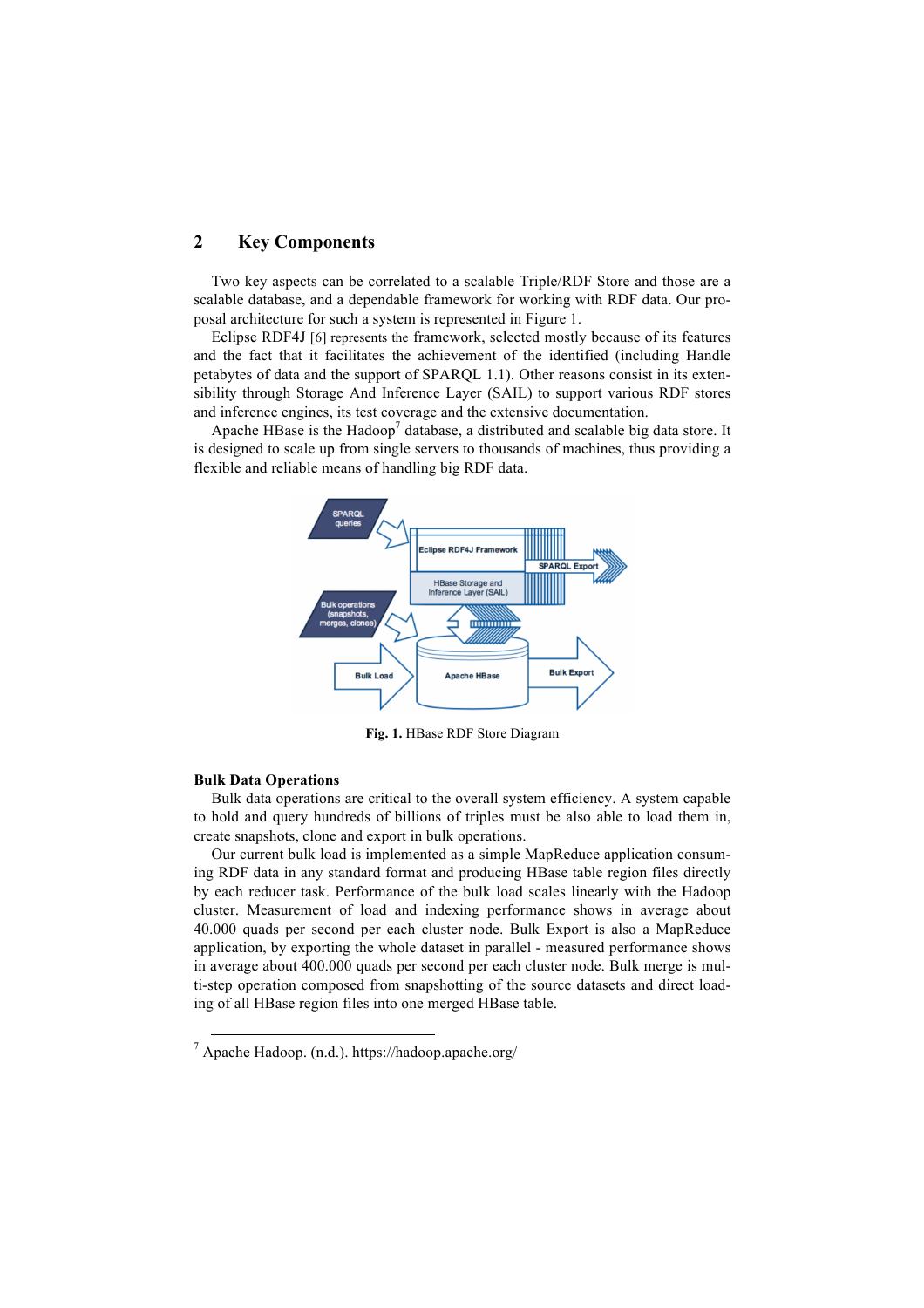## **2 Key Components**

Two key aspects can be correlated to a scalable Triple/RDF Store and those are a scalable database, and a dependable framework for working with RDF data. Our proposal architecture for such a system is represented in Figure 1.

Eclipse RDF4J [6] represents the framework, selected mostly because of its features and the fact that it facilitates the achievement of the identified (including Handle petabytes of data and the support of SPARQL 1.1). Other reasons consist in its extensibility through Storage And Inference Layer (SAIL) to support various RDF stores and inference engines, its test coverage and the extensive documentation.

Apache HBase is the Hadoop<sup>7</sup> database, a distributed and scalable big data store. It is designed to scale up from single servers to thousands of machines, thus providing a flexible and reliable means of handling big RDF data.



**Fig. 1.** HBase RDF Store Diagram

### **Bulk Data Operations**

Bulk data operations are critical to the overall system efficiency. A system capable to hold and query hundreds of billions of triples must be also able to load them in, create snapshots, clone and export in bulk operations.

Our current bulk load is implemented as a simple MapReduce application consuming RDF data in any standard format and producing HBase table region files directly by each reducer task. Performance of the bulk load scales linearly with the Hadoop cluster. Measurement of load and indexing performance shows in average about 40.000 quads per second per each cluster node. Bulk Export is also a MapReduce application, by exporting the whole dataset in parallel - measured performance shows in average about 400.000 quads per second per each cluster node. Bulk merge is multi-step operation composed from snapshotting of the source datasets and direct loading of all HBase region files into one merged HBase table.

 $^7$  Apache Hadoop. (n.d.). https://hadoop.apache.org/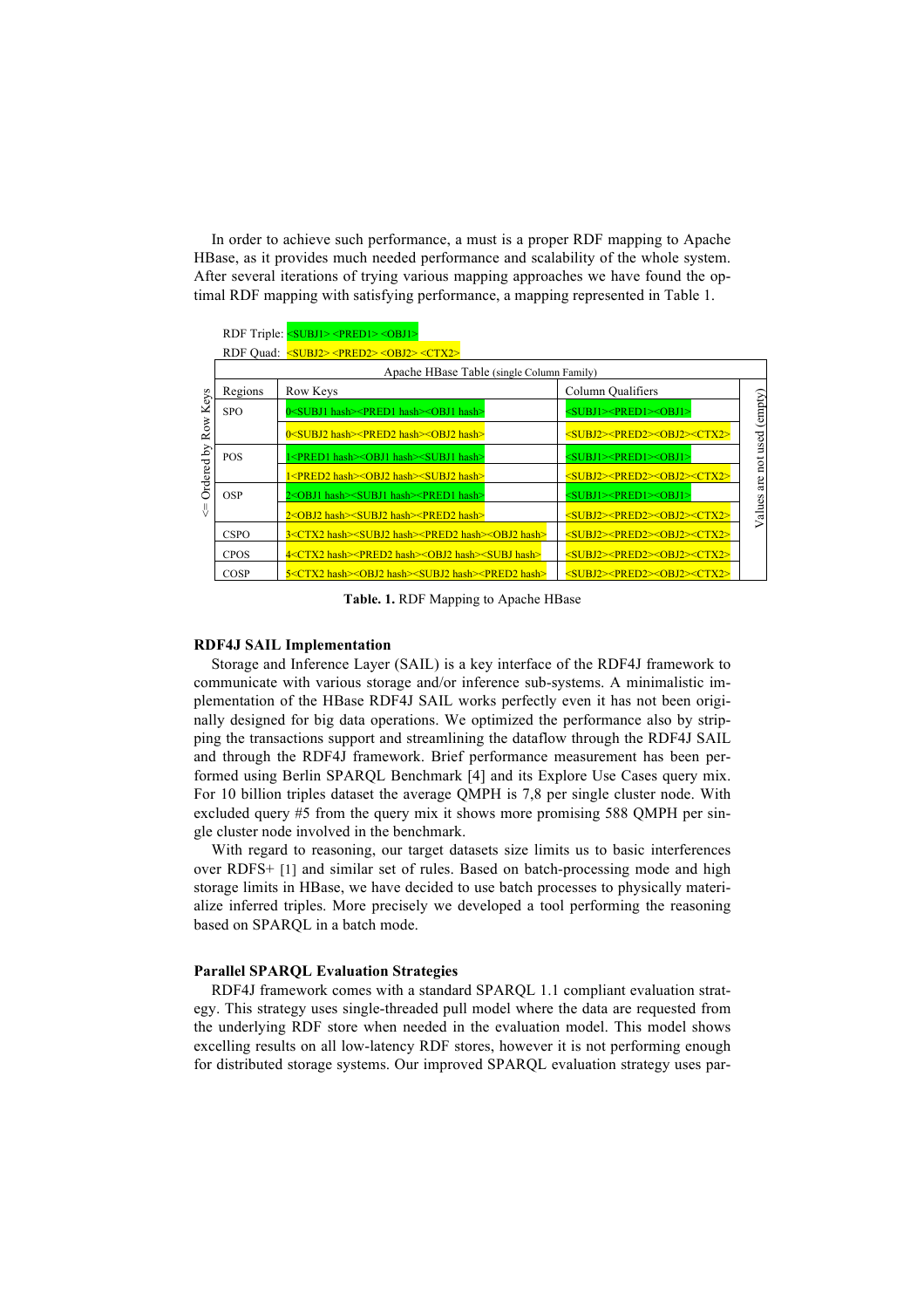In order to achieve such performance, a must is a proper RDF mapping to Apache HBase, as it provides much needed performance and scalability of the whole system. After several iterations of trying various mapping approaches we have found the optimal RDF mapping with satisfying performance, a mapping represented in Table 1.

|             |                                                                    | RDF Triple: <subj1> <pred1> <obj1></obj1></pred1></subj1>                                  |                                                          |          |
|-------------|--------------------------------------------------------------------|--------------------------------------------------------------------------------------------|----------------------------------------------------------|----------|
|             | RDF Quad: <subj2><pred2><obj2><ctx2></ctx2></obj2></pred2></subj2> |                                                                                            |                                                          |          |
|             | Apache HBase Table (single Column Family)                          |                                                                                            |                                                          |          |
| Keys<br>Row | Regions                                                            | Row Keys                                                                                   | Column Qualifiers                                        |          |
|             | <b>SPO</b>                                                         | 0 <subj1 hash=""><pred1 hash=""><obj1 hash=""></obj1></pred1></subj1>                      | <subj1><pred1><obj1></obj1></pred1></subj1>              | (empty)  |
|             |                                                                    | 0 <subj2 hash=""><pred2 hash=""><obj2 hash=""></obj2></pred2></subj2>                      | <subj2><pred2><obj2><ctx2></ctx2></obj2></pred2></subj2> |          |
| Δy          | <b>POS</b>                                                         | <pred1 hash=""><obj1 hash=""><subj1 hash=""></subj1></obj1></pred1>                        | <subj1><pred1><obj1></obj1></pred1></subj1>              | not used |
| Ordered     |                                                                    | 1 <pred2 hash=""><obj2 hash=""><subj2 hash=""></subj2></obj2></pred2>                      | <subj2><pred2><obj2><ctx2></ctx2></obj2></pred2></subj2> | are      |
|             | <b>OSP</b>                                                         | 2 <obj1 hash=""><subj1 hash=""><pred1 hash=""></pred1></subj1></obj1>                      | <subj1><pred1><obj1></obj1></pred1></subj1>              |          |
| 쁬           |                                                                    | 2 <obj2 hash=""><subj2 hash=""><pred2 hash=""></pred2></subj2></obj2>                      | <subj2><pred2><obj2><ctx2></ctx2></obj2></pred2></subj2> | Values   |
|             | <b>CSPO</b>                                                        | 3 <ctx2 hash=""><subj2 hash=""><pred2 hash=""><obj2 hash=""></obj2></pred2></subj2></ctx2> | <subj2><pred2><obj2><ctx2></ctx2></obj2></pred2></subj2> |          |
|             | <b>CPOS</b>                                                        | 4 <ctx2 hash=""><pred2 hash=""><obj2 hash=""><subj hash=""></subj></obj2></pred2></ctx2>   | <subj2><pred2><obj2><ctx2></ctx2></obj2></pred2></subj2> |          |
|             | <b>COSP</b>                                                        | 5 <ctx2 hash=""><obj2 hash=""><subj2 hash=""><pred2 hash=""></pred2></subj2></obj2></ctx2> | <subj2><pred2><obj2><ctx2></ctx2></obj2></pred2></subj2> |          |

**Table. 1.** RDF Mapping to Apache HBase

#### **RDF4J SAIL Implementation**

Storage and Inference Layer (SAIL) is a key interface of the RDF4J framework to communicate with various storage and/or inference sub-systems. A minimalistic implementation of the HBase RDF4J SAIL works perfectly even it has not been originally designed for big data operations. We optimized the performance also by stripping the transactions support and streamlining the dataflow through the RDF4J SAIL and through the RDF4J framework. Brief performance measurement has been performed using Berlin SPARQL Benchmark [4] and its Explore Use Cases query mix. For 10 billion triples dataset the average QMPH is 7,8 per single cluster node. With excluded query #5 from the query mix it shows more promising 588 QMPH per single cluster node involved in the benchmark.

With regard to reasoning, our target datasets size limits us to basic interferences over RDFS+ [1] and similar set of rules. Based on batch-processing mode and high storage limits in HBase, we have decided to use batch processes to physically materialize inferred triples. More precisely we developed a tool performing the reasoning based on SPARQL in a batch mode.

#### **Parallel SPARQL Evaluation Strategies**

RDF4J framework comes with a standard SPARQL 1.1 compliant evaluation strategy. This strategy uses single-threaded pull model where the data are requested from the underlying RDF store when needed in the evaluation model. This model shows excelling results on all low-latency RDF stores, however it is not performing enough for distributed storage systems. Our improved SPARQL evaluation strategy uses par-